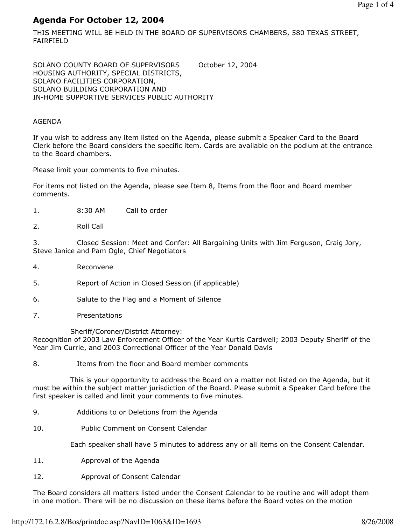# Agenda For October 12, 2004

THIS MEETING WILL BE HELD IN THE BOARD OF SUPERVISORS CHAMBERS, 580 TEXAS STREET, FAIRFIELD

SOLANO COUNTY BOARD OF SUPERVISORS October 12, 2004 HOUSING AUTHORITY, SPECIAL DISTRICTS, SOLANO FACILITIES CORPORATION, SOLANO BUILDING CORPORATION AND IN-HOME SUPPORTIVE SERVICES PUBLIC AUTHORITY

### AGENDA

If you wish to address any item listed on the Agenda, please submit a Speaker Card to the Board Clerk before the Board considers the specific item. Cards are available on the podium at the entrance to the Board chambers.

Please limit your comments to five minutes.

For items not listed on the Agenda, please see Item 8, Items from the floor and Board member comments.

- 1. 8:30 AM Call to order
- 2. Roll Call

3. Closed Session: Meet and Confer: All Bargaining Units with Jim Ferguson, Craig Jory, Steve Janice and Pam Ogle, Chief Negotiators

- 4. Reconvene
- 5. Report of Action in Closed Session (if applicable)
- 6. Salute to the Flag and a Moment of Silence
- 7. Presentations

Sheriff/Coroner/District Attorney:

Recognition of 2003 Law Enforcement Officer of the Year Kurtis Cardwell; 2003 Deputy Sheriff of the Year Jim Currie, and 2003 Correctional Officer of the Year Donald Davis

8. Items from the floor and Board member comments

 This is your opportunity to address the Board on a matter not listed on the Agenda, but it must be within the subject matter jurisdiction of the Board. Please submit a Speaker Card before the first speaker is called and limit your comments to five minutes.

- 9. Additions to or Deletions from the Agenda
- 10. Public Comment on Consent Calendar

Each speaker shall have 5 minutes to address any or all items on the Consent Calendar.

- 11. Approval of the Agenda
- 12. Approval of Consent Calendar

The Board considers all matters listed under the Consent Calendar to be routine and will adopt them in one motion. There will be no discussion on these items before the Board votes on the motion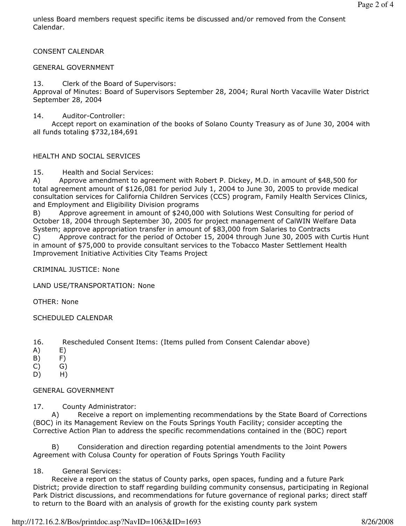unless Board members request specific items be discussed and/or removed from the Consent Calendar.

CONSENT CALENDAR

### GENERAL GOVERNMENT

13. Clerk of the Board of Supervisors:

Approval of Minutes: Board of Supervisors September 28, 2004; Rural North Vacaville Water District September 28, 2004

14. Auditor-Controller:

 Accept report on examination of the books of Solano County Treasury as of June 30, 2004 with all funds totaling \$732,184,691

### HEALTH AND SOCIAL SERVICES

15. Health and Social Services:

A) Approve amendment to agreement with Robert P. Dickey, M.D. in amount of \$48,500 for total agreement amount of \$126,081 for period July 1, 2004 to June 30, 2005 to provide medical consultation services for California Children Services (CCS) program, Family Health Services Clinics, and Employment and Eligibility Division programs

B) Approve agreement in amount of \$240,000 with Solutions West Consulting for period of October 18, 2004 through September 30, 2005 for project management of CalWIN Welfare Data System; approve appropriation transfer in amount of \$83,000 from Salaries to Contracts C) Approve contract for the period of October 15, 2004 through June 30, 2005 with Curtis Hunt in amount of \$75,000 to provide consultant services to the Tobacco Master Settlement Health Improvement Initiative Activities City Teams Project

CRIMINAL JUSTICE: None

LAND USE/TRANSPORTATION: None

OTHER: None

#### SCHEDULED CALENDAR

- 16. Rescheduled Consent Items: (Items pulled from Consent Calendar above)
- A) E)
- B) F)
- $(C)$   $(G)$
- D) H)

#### GENERAL GOVERNMENT

17. County Administrator:

 A) Receive a report on implementing recommendations by the State Board of Corrections (BOC) in its Management Review on the Fouts Springs Youth Facility; consider accepting the Corrective Action Plan to address the specific recommendations contained in the (BOC) report

 B) Consideration and direction regarding potential amendments to the Joint Powers Agreement with Colusa County for operation of Fouts Springs Youth Facility

### 18. General Services:

 Receive a report on the status of County parks, open spaces, funding and a future Park District; provide direction to staff regarding building community consensus, participating in Regional Park District discussions, and recommendations for future governance of regional parks; direct staff to return to the Board with an analysis of growth for the existing county park system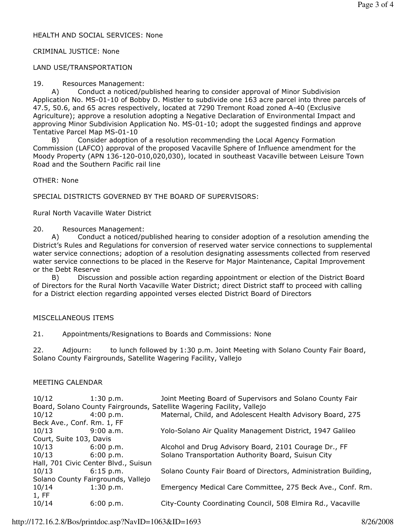### HEALTH AND SOCIAL SERVICES: None

### CRIMINAL JUSTICE: None

## LAND USE/TRANSPORTATION

### 19. Resources Management:

 A) Conduct a noticed/published hearing to consider approval of Minor Subdivision Application No. MS-01-10 of Bobby D. Mistler to subdivide one 163 acre parcel into three parcels of 47.5, 50.6, and 65 acres respectively, located at 7290 Tremont Road zoned A-40 (Exclusive Agriculture); approve a resolution adopting a Negative Declaration of Environmental Impact and approving Minor Subdivision Application No. MS-01-10; adopt the suggested findings and approve Tentative Parcel Map MS-01-10

 B) Consider adoption of a resolution recommending the Local Agency Formation Commission (LAFCO) approval of the proposed Vacaville Sphere of Influence amendment for the Moody Property (APN 136-120-010,020,030), located in southeast Vacaville between Leisure Town Road and the Southern Pacific rail line

OTHER: None

SPECIAL DISTRICTS GOVERNED BY THE BOARD OF SUPERVISORS:

Rural North Vacaville Water District

20. Resources Management:

 A) Conduct a noticed/published hearing to consider adoption of a resolution amending the District's Rules and Regulations for conversion of reserved water service connections to supplemental water service connections; adoption of a resolution designating assessments collected from reserved water service connections to be placed in the Reserve for Major Maintenance, Capital Improvement or the Debt Reserve

 B) Discussion and possible action regarding appointment or election of the District Board of Directors for the Rural North Vacaville Water District; direct District staff to proceed with calling for a District election regarding appointed verses elected District Board of Directors

# MISCELLANEOUS ITEMS

21. Appointments/Resignations to Boards and Commissions: None

22. Adjourn: to lunch followed by 1:30 p.m. Joint Meeting with Solano County Fair Board, Solano County Fairgrounds, Satellite Wagering Facility, Vallejo

### MEETING CALENDAR

| $10/12$ 1:30 p.m.                                                      |             | Joint Meeting Board of Supervisors and Solano County Fair       |
|------------------------------------------------------------------------|-------------|-----------------------------------------------------------------|
| Board, Solano County Fairgrounds, Satellite Wagering Facility, Vallejo |             |                                                                 |
| 10/12                                                                  | 4:00 p.m.   | Maternal, Child, and Adolescent Health Advisory Board, 275      |
| Beck Ave., Conf. Rm. 1, FF                                             |             |                                                                 |
| 10/13 9:00 a.m.                                                        |             | Yolo-Solano Air Quality Management District, 1947 Galileo       |
| Court, Suite 103, Davis                                                |             |                                                                 |
| $10/13$ 6:00 p.m.                                                      |             | Alcohol and Drug Advisory Board, 2101 Courage Dr., FF           |
| 10/13                                                                  | 6:00 p.m.   | Solano Transportation Authority Board, Suisun City              |
| Hall, 701 Civic Center Blvd., Suisun                                   |             |                                                                 |
| 10/13                                                                  | $6:15$ p.m. | Solano County Fair Board of Directors, Administration Building, |
| Solano County Fairgrounds, Vallejo                                     |             |                                                                 |
| 10/14                                                                  | 1:30 p.m.   | Emergency Medical Care Committee, 275 Beck Ave., Conf. Rm.      |
| 1, FF                                                                  |             |                                                                 |
| 10/14                                                                  | 6:00 p.m.   | City-County Coordinating Council, 508 Elmira Rd., Vacaville     |